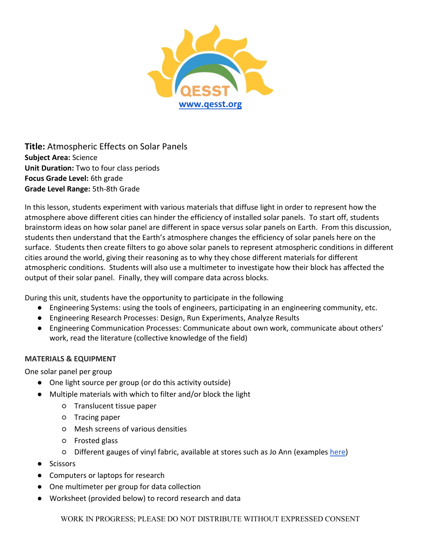

**Title:** Atmospheric Effects on Solar Panels **Subject Area:** Science **Unit Duration:** Two to four class periods **Focus Grade Level:** 6th grade **Grade Level Range:** 5th-8th Grade

In this lesson, students experiment with various materials that diffuse light in order to represent how the atmosphere above different cities can hinder the efficiency of installed solar panels. To start off, students brainstorm ideas on how solar panel are different in space versus solar panels on Earth. From this discussion, students then understand that the Earth's atmosphere changes the efficiency of solar panels here on the surface. Students then create filters to go above solar panels to represent atmospheric conditions in different cities around the world, giving their reasoning as to why they chose different materials for different atmospheric conditions. Students will also use a multimeter to investigate how their block has affected the output of their solar panel. Finally, they will compare data across blocks.

During this unit, students have the opportunity to participate in the following

- Engineering Systems: using the tools of engineers, participating in an engineering community, etc.
- Engineering Research Processes: Design, Run Experiments, Analyze Results
- Engineering Communication Processes: Communicate about own work, communicate about others' work, read the literature (collective knowledge of the field)

### **MATERIALS & EQUIPMENT**

One solar panel per group

- One light source per group (or do this activity outside)
- Multiple materials with which to filter and/or block the light
	- Translucent tissue paper
	- Tracing paper
	- Mesh screens of various densities
	- Frosted glass
	- Different gauges of vinyl fabric, available at stores such as Jo Ann (examples [here\)](https://www.joann.com/fabric/utility-fabric/vinyl/)
- Scissors
- Computers or laptops for research
- One multimeter per group for data collection
- Worksheet (provided below) to record research and data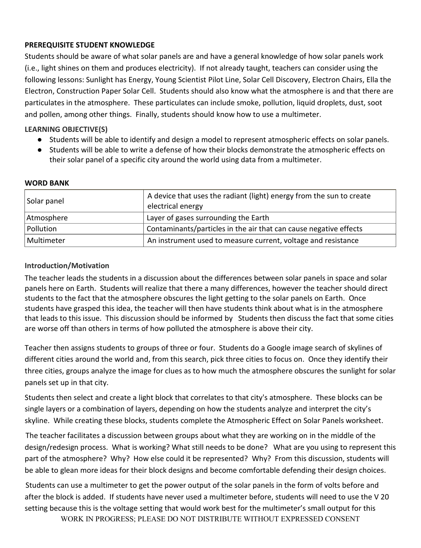### **PREREQUISITE STUDENT KNOWLEDGE**

Students should be aware of what solar panels are and have a general knowledge of how solar panels work (i.e., light shines on them and produces electricity). If not already taught, teachers can consider using the following lessons: Sunlight has Energy, Young Scientist Pilot Line, Solar Cell Discovery, Electron Chairs, Ella the Electron, Construction Paper Solar Cell. Students should also know what the atmosphere is and that there are particulates in the atmosphere. These particulates can include smoke, pollution, liquid droplets, dust, soot and pollen, among other things. Finally, students should know how to use a multimeter.

## **LEARNING OBJECTIVE(S)**

- Students will be able to identify and design a model to represent atmospheric effects on solar panels.
- Students will be able to write a defense of how their blocks demonstrate the atmospheric effects on their solar panel of a specific city around the world using data from a multimeter.

#### **WORD BANK**

| Solar panel | A device that uses the radiant (light) energy from the sun to create<br>electrical energy |
|-------------|-------------------------------------------------------------------------------------------|
| Atmosphere  | Layer of gases surrounding the Earth                                                      |
| Pollution   | Contaminants/particles in the air that can cause negative effects                         |
| Multimeter  | An instrument used to measure current, voltage and resistance                             |

### **Introduction/Motivation**

The teacher leads the students in a discussion about the differences between solar panels in space and solar panels here on Earth. Students will realize that there a many differences, however the teacher should direct students to the fact that the atmosphere obscures the light getting to the solar panels on Earth. Once students have grasped this idea, the teacher will then have students think about what is in the atmosphere that leads to this issue. This discussion should be informed by Students then discuss the fact that some cities are worse off than others in terms of how polluted the atmosphere is above their city.

Teacher then assigns students to groups of three or four. Students do a Google image search of skylines of different cities around the world and, from this search, pick three cities to focus on. Once they identify their three cities, groups analyze the image for clues as to how much the atmosphere obscures the sunlight for solar panels set up in that city.

Students then select and create a light block that correlates to that city's atmosphere. These blocks can be single layers or a combination of layers, depending on how the students analyze and interpret the city's skyline. While creating these blocks, students complete the Atmospheric Effect on Solar Panels worksheet.

The teacher facilitates a discussion between groups about what they are working on in the middle of the design/redesign process. What is working? What still needs to be done? What are you using to represent this part of the atmosphere? Why? How else could it be represented? Why? From this discussion, students will be able to glean more ideas for their block designs and become comfortable defending their design choices.

Students can use a multimeter to get the power output of the solar panels in the form of volts before and after the block is added. If students have never used a multimeter before, students will need to use the V 20 setting because this is the voltage setting that would work best for the multimeter's small output for this

WORK IN PROGRESS; PLEASE DO NOT DISTRIBUTE WITHOUT EXPRESSED CONSENT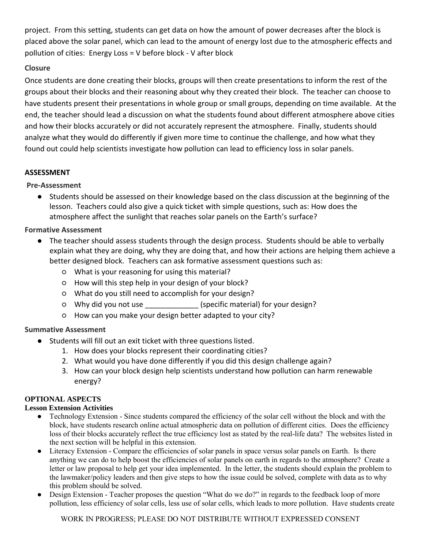project. From this setting, students can get data on how the amount of power decreases after the block is placed above the solar panel, which can lead to the amount of energy lost due to the atmospheric effects and pollution of cities: Energy Loss = V before block - V after block

# **Closure**

Once students are done creating their blocks, groups will then create presentations to inform the rest of the groups about their blocks and their reasoning about why they created their block. The teacher can choose to have students present their presentations in whole group or small groups, depending on time available. At the end, the teacher should lead a discussion on what the students found about different atmosphere above cities and how their blocks accurately or did not accurately represent the atmosphere. Finally, students should analyze what they would do differently if given more time to continue the challenge, and how what they found out could help scientists investigate how pollution can lead to efficiency loss in solar panels.

# **ASSESSMENT**

# **Pre-Assessment**

● Students should be assessed on their knowledge based on the class discussion at the beginning of the lesson. Teachers could also give a quick ticket with simple questions, such as: How does the atmosphere affect the sunlight that reaches solar panels on the Earth's surface?

# **Formative Assessment**

- The teacher should assess students through the design process. Students should be able to verbally explain what they are doing, why they are doing that, and how their actions are helping them achieve a better designed block. Teachers can ask formative assessment questions such as:
	- What is your reasoning for using this material?
	- How will this step help in your design of your block?
	- What do you still need to accomplish for your design?
	- Why did you not use \_\_\_\_\_\_\_\_\_\_\_\_\_ (specific material) for your design?
	- How can you make your design better adapted to your city?

# **Summative Assessment**

- Students will fill out an exit ticket with three questions listed.
	- 1. How does your blocks represent their coordinating cities?
	- 2. What would you have done differently if you did this design challenge again?
	- 3. How can your block design help scientists understand how pollution can harm renewable energy?

## **OPTIONAL ASPECTS**

## **Lesson Extension Activities**

- Technology Extension Since students compared the efficiency of the solar cell without the block and with the block, have students research online actual atmospheric data on pollution of different cities. Does the efficiency loss of their blocks accurately reflect the true efficiency lost as stated by the real-life data? The websites listed in the next section will be helpful in this extension.
- Literacy Extension Compare the efficiencies of solar panels in space versus solar panels on Earth. Is there anything we can do to help boost the efficiencies of solar panels on earth in regards to the atmosphere? Create a letter or law proposal to help get your idea implemented. In the letter, the students should explain the problem to the lawmaker/policy leaders and then give steps to how the issue could be solved, complete with data as to why this problem should be solved.
- Design Extension Teacher proposes the question "What do we do?" in regards to the feedback loop of more pollution, less efficiency of solar cells, less use of solar cells, which leads to more pollution. Have students create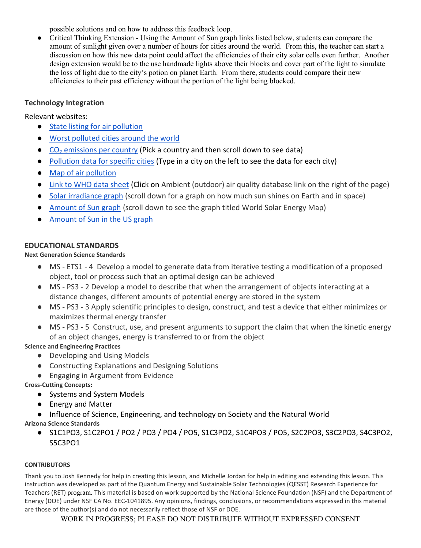possible solutions and on how to address this feedback loop.

• Critical Thinking Extension - Using the Amount of Sun graph links listed below, students can compare the amount of sunlight given over a number of hours for cities around the world. From this, the teacher can start a discussion on how this new data point could affect the efficiencies of their city solar cells even further. Another design extension would be to the use handmade lights above their blocks and cover part of the light to simulate the loss of light due to the city's potion on planet Earth. From there, students could compare their new efficiencies to their past efficiency without the portion of the light being blocked.

### **Technology Integration**

Relevant websites:

- [State listing for air pollution](http://www.lung.org/our-initiatives/healthy-air/sota/city-rankings/states/)
- [Worst polluted cities around the world](https://www.weforum.org/agenda/2018/05/these-are-the-worlds-most-polluted-cities)
- $\bullet$  CO<sub>2</sub> emissions per country (Pick a country and then scroll down to see data)
- [Pollution data for specific cities](http://breathelife2030.org/city-data-page/) (Type in a city on the left to see the data for each city)
- [Map of air pollution](http://maps.who.int/airpollution/)
- [Link to WHO data sheet](http://www.who.int/airpollution/data/cities/en/) (Click on Ambient (outdoor) air quality database link on the right of the page)
- [Solar irradiance graph](https://crisp.nus.edu.sg/~research/tutorial/optical.htm) (scroll down for a graph on how much sun shines on Earth and in space)
- [Amount of Sun graph](http://solarinsolation.org/tag/map/) (scroll down to see the graph titled World Solar Energy Map)
- [Amount of Sun in the US graph](https://www.nrel.gov/gis/solar.html)

### **EDUCATIONAL STANDARDS**

### **Next Generation Science Standards**

- MS ETS1 4 Develop a model to generate data from iterative testing a modification of a proposed object, tool or process such that an optimal design can be achieved
- MS PS3 2 Develop a model to describe that when the arrangement of objects interacting at a distance changes, different amounts of potential energy are stored in the system
- MS PS3 3 Apply scientific principles to design, construct, and test a device that either minimizes or maximizes thermal energy transfer
- MS PS3 5 Construct, use, and present arguments to support the claim that when the kinetic energy of an object changes, energy is transferred to or from the object

**Science and Engineering Practices**

- Developing and Using Models
- Constructing Explanations and Designing Solutions
- Engaging in Argument from Evidence

**Cross-Cutting Concepts:**

- Systems and System Models
- Energy and Matter
- Influence of Science, Engineering, and technology on Society and the Natural World

**Arizona Science Standards**

● S1C1PO3, S1C2PO1 / PO2 / PO3 / PO4 / PO5, S1C3PO2, S1C4PO3 / PO5, S2C2PO3, S3C2PO3, S4C3PO2, S5C3PO1

### **CONTRIBUTORS**

Thank you to Josh Kennedy for help in creating this lesson, and Michelle Jordan for help in editing and extending this lesson. This instruction was developed as part of the Quantum Energy and Sustainable Solar Technologies (QESST) Research Experience for Teachers (RET) program. This material is based on work supported by the National Science Foundation (NSF) and the Department of Energy (DOE) under NSF CA No. EEC-1041895. Any opinions, findings, conclusions, or recommendations expressed in this material are those of the author(s) and do not necessarily reflect those of NSF or DOE.

WORK IN PROGRESS; PLEASE DO NOT DISTRIBUTE WITHOUT EXPRESSED CONSENT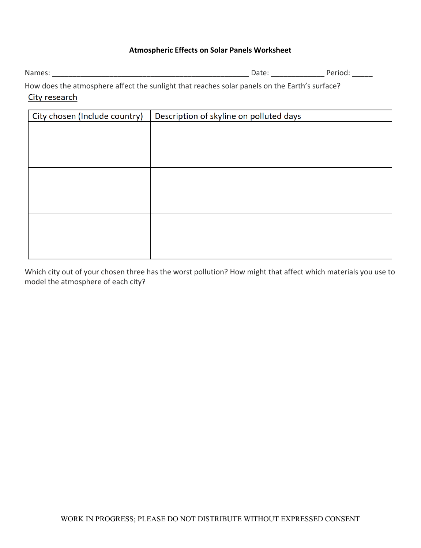## **Atmospheric Effects on Solar Panels Worksheet**

| IΜ       |                    | _________________ |
|----------|--------------------|-------------------|
| .<br>$-$ | --------<br>.<br>. |                   |

How does the atmosphere affect the sunlight that reaches solar panels on the Earth's surface? City research

| City chosen (Include country) | Description of skyline on polluted days |
|-------------------------------|-----------------------------------------|
|                               |                                         |
|                               |                                         |
|                               |                                         |
|                               |                                         |
|                               |                                         |
|                               |                                         |
|                               |                                         |
|                               |                                         |
|                               |                                         |
|                               |                                         |
|                               |                                         |

Which city out of your chosen three has the worst pollution? How might that affect which materials you use to model the atmosphere of each city?